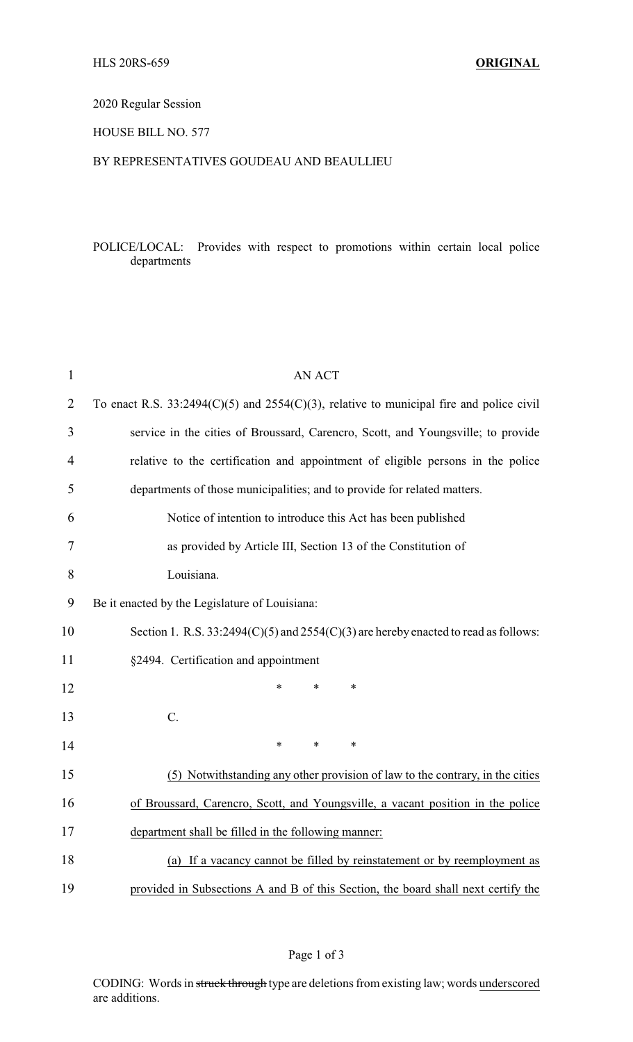# 2020 Regular Session

### HOUSE BILL NO. 577

### BY REPRESENTATIVES GOUDEAU AND BEAULLIEU

# POLICE/LOCAL: Provides with respect to promotions within certain local police departments

| $\mathbf{1}$   | <b>AN ACT</b>                                                                                |  |  |  |
|----------------|----------------------------------------------------------------------------------------------|--|--|--|
| $\overline{2}$ | To enact R.S. $33:2494(C)(5)$ and $2554(C)(3)$ , relative to municipal fire and police civil |  |  |  |
| 3              | service in the cities of Broussard, Carencro, Scott, and Youngsville; to provide             |  |  |  |
| $\overline{4}$ | relative to the certification and appointment of eligible persons in the police              |  |  |  |
| 5              | departments of those municipalities; and to provide for related matters.                     |  |  |  |
| 6              | Notice of intention to introduce this Act has been published                                 |  |  |  |
| 7              | as provided by Article III, Section 13 of the Constitution of                                |  |  |  |
| 8              | Louisiana.                                                                                   |  |  |  |
| 9              | Be it enacted by the Legislature of Louisiana:                                               |  |  |  |
| 10             | Section 1. R.S. $33:2494(C)(5)$ and $2554(C)(3)$ are hereby enacted to read as follows:      |  |  |  |
| 11             | §2494. Certification and appointment                                                         |  |  |  |
| 12             | $\ast$<br>*<br>$\ast$                                                                        |  |  |  |
| 13             | C.                                                                                           |  |  |  |
| 14             | $\ast$<br>$\ast$<br>$\ast$                                                                   |  |  |  |
| 15             | (5) Notwithstanding any other provision of law to the contrary, in the cities                |  |  |  |
| 16             | of Broussard, Carencro, Scott, and Youngsville, a vacant position in the police              |  |  |  |
| 17             | department shall be filled in the following manner:                                          |  |  |  |
| 18             | (a) If a vacancy cannot be filled by reinstatement or by reemployment as                     |  |  |  |
| 19             | provided in Subsections A and B of this Section, the board shall next certify the            |  |  |  |

CODING: Words in struck through type are deletions from existing law; words underscored are additions.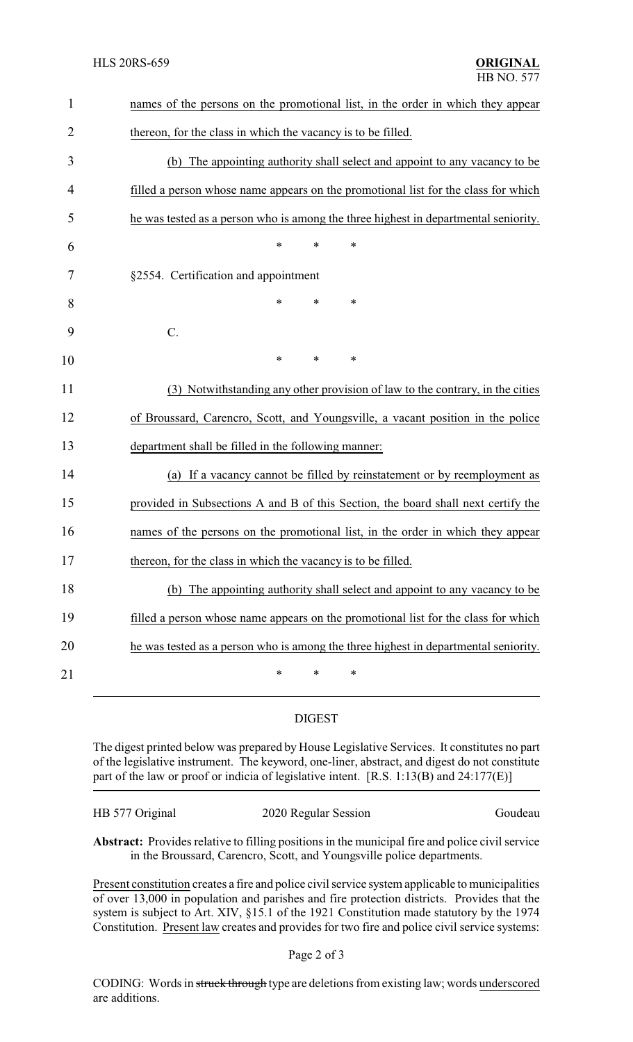| $\mathbf{1}$   | names of the persons on the promotional list, in the order in which they appear     |  |  |  |
|----------------|-------------------------------------------------------------------------------------|--|--|--|
| $\overline{2}$ | thereon, for the class in which the vacancy is to be filled.                        |  |  |  |
| 3              | (b) The appointing authority shall select and appoint to any vacancy to be          |  |  |  |
| 4              | filled a person whose name appears on the promotional list for the class for which  |  |  |  |
| 5              | he was tested as a person who is among the three highest in departmental seniority. |  |  |  |
| 6              | $\ast$<br>$\ast$<br>*                                                               |  |  |  |
| 7              | §2554. Certification and appointment                                                |  |  |  |
| 8              | *<br>$\ast$<br>∗                                                                    |  |  |  |
| 9              | $C$ .                                                                               |  |  |  |
| 10             | *<br>*<br>*                                                                         |  |  |  |
| 11             | (3) Notwithstanding any other provision of law to the contrary, in the cities       |  |  |  |
| 12             | of Broussard, Carencro, Scott, and Youngsville, a vacant position in the police     |  |  |  |
| 13             | department shall be filled in the following manner:                                 |  |  |  |
| 14             | (a) If a vacancy cannot be filled by reinstatement or by reemployment as            |  |  |  |
| 15             | provided in Subsections A and B of this Section, the board shall next certify the   |  |  |  |
| 16             | names of the persons on the promotional list, in the order in which they appear     |  |  |  |
| 17             | thereon, for the class in which the vacancy is to be filled.                        |  |  |  |
| 18             | (b) The appointing authority shall select and appoint to any vacancy to be          |  |  |  |
| 19             | filled a person whose name appears on the promotional list for the class for which  |  |  |  |
| 20             | he was tested as a person who is among the three highest in departmental seniority. |  |  |  |
| 21             | $\ast$<br>$\ast$<br>*                                                               |  |  |  |
|                |                                                                                     |  |  |  |

### DIGEST

The digest printed below was prepared by House Legislative Services. It constitutes no part of the legislative instrument. The keyword, one-liner, abstract, and digest do not constitute part of the law or proof or indicia of legislative intent. [R.S. 1:13(B) and 24:177(E)]

| HB 577 Original | 2020 Regular Session | Goudeau |
|-----------------|----------------------|---------|
|                 |                      |         |

**Abstract:** Provides relative to filling positions in the municipal fire and police civil service in the Broussard, Carencro, Scott, and Youngsville police departments.

Present constitution creates a fire and police civil service system applicable to municipalities of over 13,000 in population and parishes and fire protection districts. Provides that the system is subject to Art. XIV, §15.1 of the 1921 Constitution made statutory by the 1974 Constitution. Present law creates and provides for two fire and police civil service systems:

CODING: Words in struck through type are deletions from existing law; words underscored are additions.